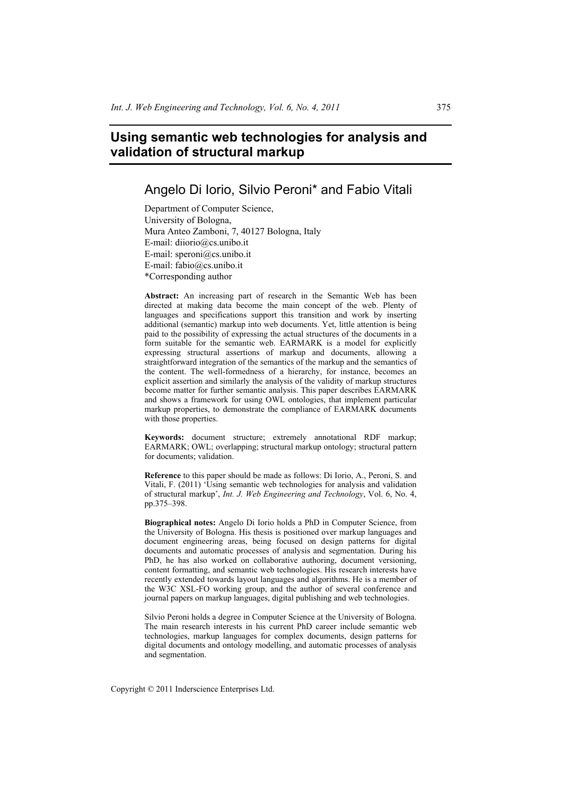# **Using semantic web technologies for analysis and validation of structural markup**

## Angelo Di Iorio, Silvio Peroni\* and Fabio Vitali

Department of Computer Science, University of Bologna, Mura Anteo Zamboni, 7, 40127 Bologna, Italy E-mail: diiorio@cs.unibo.it E-mail: speroni@cs.unibo.it E-mail: fabio@cs.unibo.it \*Corresponding author

**Abstract:** An increasing part of research in the Semantic Web has been directed at making data become the main concept of the web. Plenty of languages and specifications support this transition and work by inserting additional (semantic) markup into web documents. Yet, little attention is being paid to the possibility of expressing the actual structures of the documents in a form suitable for the semantic web. EARMARK is a model for explicitly expressing structural assertions of markup and documents, allowing a straightforward integration of the semantics of the markup and the semantics of the content. The well-formedness of a hierarchy, for instance, becomes an explicit assertion and similarly the analysis of the validity of markup structures become matter for further semantic analysis. This paper describes EARMARK and shows a framework for using OWL ontologies, that implement particular markup properties, to demonstrate the compliance of EARMARK documents with those properties.

**Keywords:** document structure; extremely annotational RDF markup; EARMARK; OWL; overlapping; structural markup ontology; structural pattern for documents; validation.

**Reference** to this paper should be made as follows: Di Iorio, A., Peroni, S. and Vitali, F. (2011) 'Using semantic web technologies for analysis and validation of structural markup', *Int. J. Web Engineering and Technology*, Vol. 6, No. 4, pp.375–398.

**Biographical notes:** Angelo Di Iorio holds a PhD in Computer Science, from the University of Bologna. His thesis is positioned over markup languages and document engineering areas, being focused on design patterns for digital documents and automatic processes of analysis and segmentation. During his PhD, he has also worked on collaborative authoring, document versioning, content formatting, and semantic web technologies. His research interests have recently extended towards layout languages and algorithms. He is a member of the W3C XSL-FO working group, and the author of several conference and journal papers on markup languages, digital publishing and web technologies.

Silvio Peroni holds a degree in Computer Science at the University of Bologna. The main research interests in his current PhD career include semantic web technologies, markup languages for complex documents, design patterns for digital documents and ontology modelling, and automatic processes of analysis and segmentation.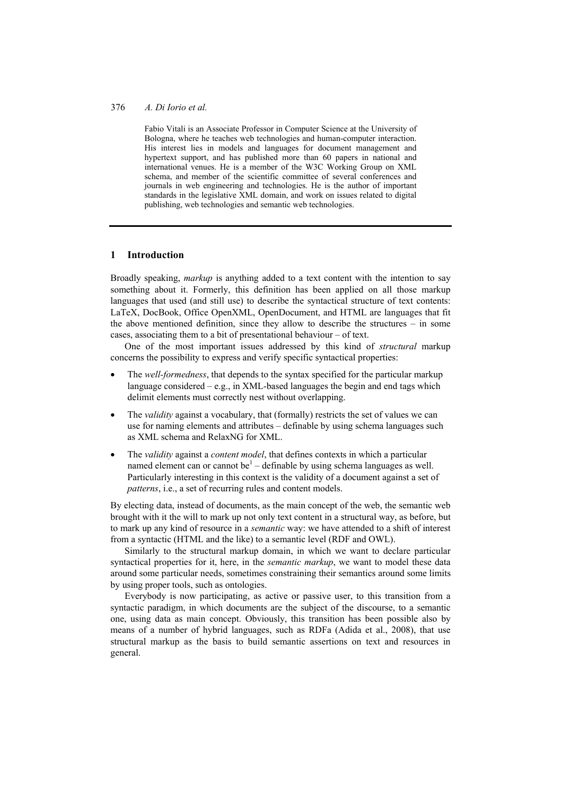Fabio Vitali is an Associate Professor in Computer Science at the University of Bologna, where he teaches web technologies and human-computer interaction. His interest lies in models and languages for document management and hypertext support, and has published more than 60 papers in national and international venues. He is a member of the W3C Working Group on XML schema, and member of the scientific committee of several conferences and journals in web engineering and technologies. He is the author of important standards in the legislative XML domain, and work on issues related to digital publishing, web technologies and semantic web technologies.

### **1 Introduction**

Broadly speaking, *markup* is anything added to a text content with the intention to say something about it. Formerly, this definition has been applied on all those markup languages that used (and still use) to describe the syntactical structure of text contents: LaTeX, DocBook, Office OpenXML, OpenDocument, and HTML are languages that fit the above mentioned definition, since they allow to describe the structures – in some cases, associating them to a bit of presentational behaviour – of text.

One of the most important issues addressed by this kind of *structural* markup concerns the possibility to express and verify specific syntactical properties:

- The *well-formedness*, that depends to the syntax specified for the particular markup language considered – e.g., in XML-based languages the begin and end tags which delimit elements must correctly nest without overlapping.
- The *validity* against a vocabulary, that (formally) restricts the set of values we can use for naming elements and attributes – definable by using schema languages such as XML schema and RelaxNG for XML.
- The *validity* against a *content model*, that defines contexts in which a particular named element can or cannot be $<sup>1</sup>$  – definable by using schema languages as well.</sup> Particularly interesting in this context is the validity of a document against a set of *patterns*, i.e., a set of recurring rules and content models.

By electing data, instead of documents, as the main concept of the web, the semantic web brought with it the will to mark up not only text content in a structural way, as before, but to mark up any kind of resource in a *semantic* way: we have attended to a shift of interest from a syntactic (HTML and the like) to a semantic level (RDF and OWL).

Similarly to the structural markup domain, in which we want to declare particular syntactical properties for it, here, in the *semantic markup*, we want to model these data around some particular needs, sometimes constraining their semantics around some limits by using proper tools, such as ontologies.

Everybody is now participating, as active or passive user, to this transition from a syntactic paradigm, in which documents are the subject of the discourse, to a semantic one, using data as main concept. Obviously, this transition has been possible also by means of a number of hybrid languages, such as RDFa (Adida et al., 2008), that use structural markup as the basis to build semantic assertions on text and resources in general.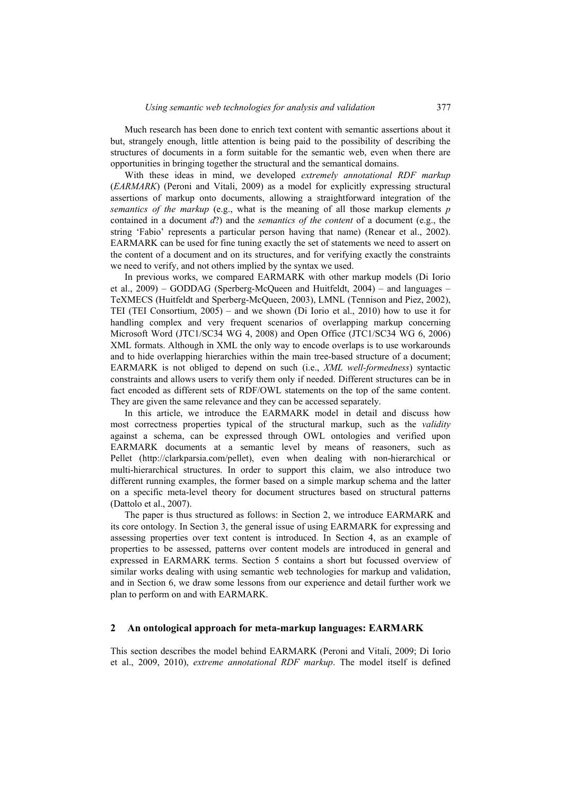Much research has been done to enrich text content with semantic assertions about it but, strangely enough, little attention is being paid to the possibility of describing the structures of documents in a form suitable for the semantic web, even when there are opportunities in bringing together the structural and the semantical domains.

With these ideas in mind, we developed *extremely annotational RDF markup* (*EARMARK*) (Peroni and Vitali, 2009) as a model for explicitly expressing structural assertions of markup onto documents, allowing a straightforward integration of the *semantics of the markup* (e.g., what is the meaning of all those markup elements *p* contained in a document *d*?) and the *semantics of the content* of a document (e.g., the string 'Fabio' represents a particular person having that name) (Renear et al., 2002). EARMARK can be used for fine tuning exactly the set of statements we need to assert on the content of a document and on its structures, and for verifying exactly the constraints we need to verify, and not others implied by the syntax we used.

In previous works, we compared EARMARK with other markup models (Di Iorio et al., 2009) – GODDAG (Sperberg-McQueen and Huitfeldt, 2004) – and languages – TeXMECS (Huitfeldt and Sperberg-McQueen, 2003), LMNL (Tennison and Piez, 2002), TEI (TEI Consortium, 2005) – and we shown (Di Iorio et al., 2010) how to use it for handling complex and very frequent scenarios of overlapping markup concerning Microsoft Word (JTC1/SC34 WG 4, 2008) and Open Office (JTC1/SC34 WG 6, 2006) XML formats. Although in XML the only way to encode overlaps is to use workarounds and to hide overlapping hierarchies within the main tree-based structure of a document; EARMARK is not obliged to depend on such (i.e., *XML well-formedness*) syntactic constraints and allows users to verify them only if needed. Different structures can be in fact encoded as different sets of RDF/OWL statements on the top of the same content. They are given the same relevance and they can be accessed separately.

In this article, we introduce the EARMARK model in detail and discuss how most correctness properties typical of the structural markup, such as the *validity* against a schema, can be expressed through OWL ontologies and verified upon EARMARK documents at a semantic level by means of reasoners, such as Pellet (http://clarkparsia.com/pellet), even when dealing with non-hierarchical or multi-hierarchical structures. In order to support this claim, we also introduce two different running examples, the former based on a simple markup schema and the latter on a specific meta-level theory for document structures based on structural patterns (Dattolo et al., 2007).

The paper is thus structured as follows: in Section 2, we introduce EARMARK and its core ontology. In Section 3, the general issue of using EARMARK for expressing and assessing properties over text content is introduced. In Section 4, as an example of properties to be assessed, patterns over content models are introduced in general and expressed in EARMARK terms. Section 5 contains a short but focussed overview of similar works dealing with using semantic web technologies for markup and validation, and in Section 6, we draw some lessons from our experience and detail further work we plan to perform on and with EARMARK.

### **2 An ontological approach for meta-markup languages: EARMARK**

This section describes the model behind EARMARK (Peroni and Vitali, 2009; Di Iorio et al., 2009, 2010), *extreme annotational RDF markup*. The model itself is defined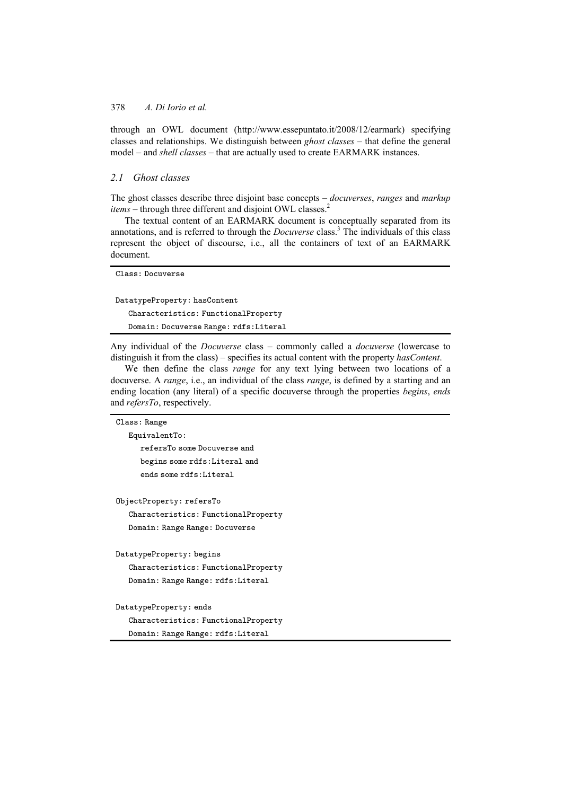through an OWL document (http://www.essepuntato.it/2008/12/earmark) specifying classes and relationships. We distinguish between *ghost classes* – that define the general model – and *shell classes* – that are actually used to create EARMARK instances.

#### *2.1 Ghost classes*

The ghost classes describe three disjoint base concepts – *docuverses*, *ranges* and *markup items* – through three different and disjoint OWL classes.<sup>2</sup>

The textual content of an EARMARK document is conceptually separated from its annotations, and is referred to through the *Docuverse* class.<sup>3</sup> The individuals of this class represent the object of discourse, i.e., all the containers of text of an EARMARK document.

Class: Docuverse DatatypeProperty: hasContent Characteristics: FunctionalProperty Domain: Docuverse Range: rdfs:Literal

Any individual of the *Docuverse* class – commonly called a *docuverse* (lowercase to distinguish it from the class) – specifies its actual content with the property *hasContent*.

We then define the class *range* for any text lying between two locations of a docuverse. A *range*, i.e., an individual of the class *range*, is defined by a starting and an ending location (any literal) of a specific docuverse through the properties *begins*, *ends* and *refersTo*, respectively.

Class: Range EquivalentTo: refersTo some Docuverse and begins some rdfs:Literal and ends some rdfs:Literal ObjectProperty: refersTo Characteristics: FunctionalProperty Domain: Range Range: Docuverse DatatypeProperty: begins Characteristics: FunctionalProperty

Domain: Range Range: rdfs:Literal

DatatypeProperty: ends

Characteristics: FunctionalProperty Domain: Range Range: rdfs:Literal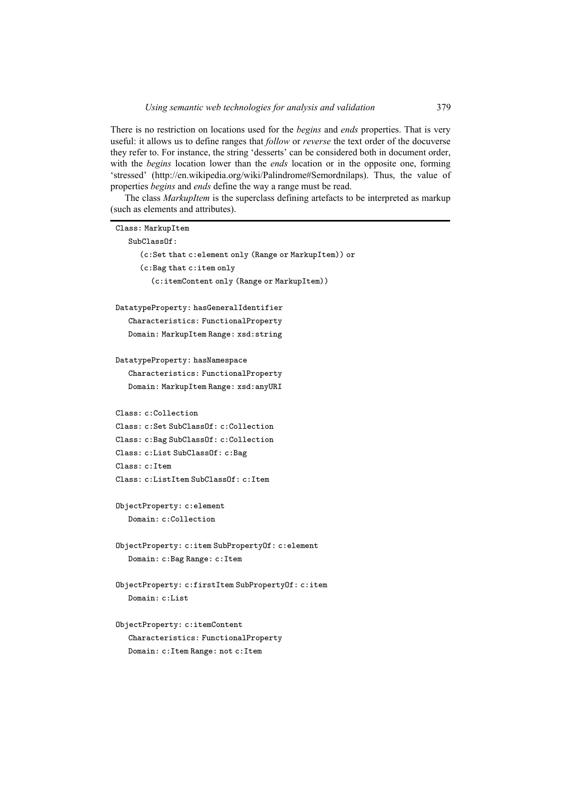There is no restriction on locations used for the *begins* and *ends* properties. That is very useful: it allows us to define ranges that *follow* or *reverse* the text order of the docuverse they refer to. For instance, the string 'desserts' can be considered both in document order, with the *begins* location lower than the *ends* location or in the opposite one, forming 'stressed' (http://en.wikipedia.org/wiki/Palindrome#Semordnilaps). Thus, the value of properties *begins* and *ends* define the way a range must be read.

The class *MarkupItem* is the superclass defining artefacts to be interpreted as markup (such as elements and attributes).

```
Class: MarkupItem 
   SubClassOf: 
       (c:Set that c:element only (Range or MarkupItem)) or 
       (c:Bag that c:item only 
          (c:itemContent only (Range or MarkupItem)) 
DatatypeProperty: hasGeneralIdentifier 
   Characteristics: FunctionalProperty 
   Domain: MarkupItem Range: xsd:string 
DatatypeProperty: hasNamespace 
   Characteristics: FunctionalProperty 
   Domain: MarkupItem Range: xsd:anyURI 
Class: c:Collection 
Class: c:Set SubClassOf: c:Collection 
Class: c:Bag SubClassOf: c:Collection 
Class: c:List SubClassOf: c:Bag 
Class: c:Item 
Class: c:ListItem SubClassOf: c:Item 
ObjectProperty: c:element 
   Domain: c:Collection 
ObjectProperty: c:item SubPropertyOf: c:element 
   Domain: c:Bag Range: c:Item 
ObjectProperty: c:firstItem SubPropertyOf: c:item 
   Domain: c:List 
ObjectProperty: c:itemContent 
   Characteristics: FunctionalProperty 
   Domain: c:Item Range: not c:Item
```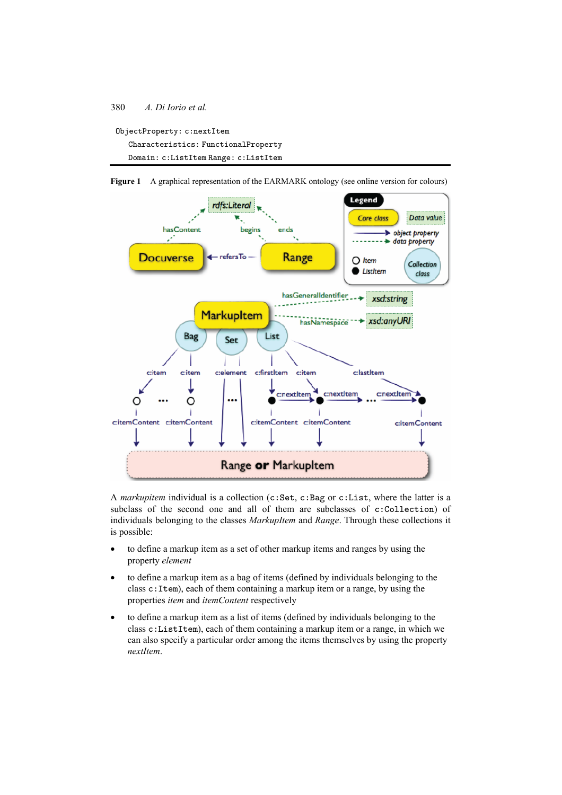ObjectProperty: c:nextItem Characteristics: FunctionalProperty Domain: c:ListItem Range: c:ListItem

Figure 1 A graphical representation of the EARMARK ontology (see online version for colours)



A *markupitem* individual is a collection (c:Set, c:Bag or c:List, where the latter is a subclass of the second one and all of them are subclasses of c:Collection) of individuals belonging to the classes *MarkupItem* and *Range*. Through these collections it is possible:

- to define a markup item as a set of other markup items and ranges by using the property *element*
- to define a markup item as a bag of items (defined by individuals belonging to the class c:Item), each of them containing a markup item or a range, by using the properties *item* and *itemContent* respectively
- to define a markup item as a list of items (defined by individuals belonging to the class c:ListItem), each of them containing a markup item or a range, in which we can also specify a particular order among the items themselves by using the property *nextItem*.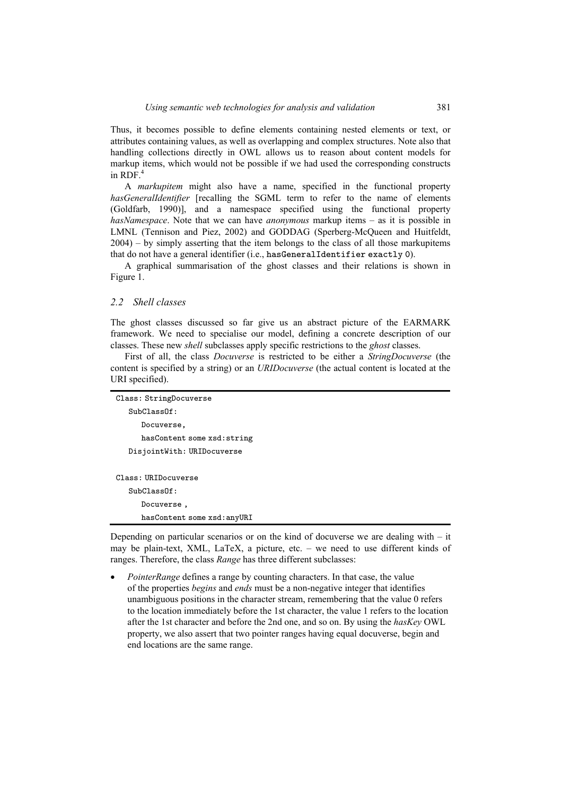Thus, it becomes possible to define elements containing nested elements or text, or attributes containing values, as well as overlapping and complex structures. Note also that handling collections directly in OWL allows us to reason about content models for markup items, which would not be possible if we had used the corresponding constructs in RDF.<sup>4</sup>

A *markupitem* might also have a name, specified in the functional property *hasGeneralIdentifier* [recalling the SGML term to refer to the name of elements (Goldfarb, 1990)], and a namespace specified using the functional property *hasNamespace*. Note that we can have *anonymous* markup items – as it is possible in LMNL (Tennison and Piez, 2002) and GODDAG (Sperberg-McQueen and Huitfeldt, 2004) – by simply asserting that the item belongs to the class of all those markupitems that do not have a general identifier (i.e., hasGeneralIdentifier exactly 0).

A graphical summarisation of the ghost classes and their relations is shown in Figure 1.

#### *2.2 Shell classes*

The ghost classes discussed so far give us an abstract picture of the EARMARK framework. We need to specialise our model, defining a concrete description of our classes. These new *shell* subclasses apply specific restrictions to the *ghost* classes.

First of all, the class *Docuverse* is restricted to be either a *StringDocuverse* (the content is specified by a string) or an *URIDocuverse* (the actual content is located at the URI specified).

| Class: StringDocuverse      |
|-----------------------------|
| SubClassOf:                 |
| Docuverse,                  |
| hasContent some xsd: string |
| DisjointWith: URIDocuverse  |
|                             |
| Class: URIDocuverse         |
| SubClassOf:                 |
| Docuverse,                  |
| hasContent some xsd: anyURI |

Depending on particular scenarios or on the kind of docuverse we are dealing with  $-$  it may be plain-text, XML, LaTeX, a picture, etc. – we need to use different kinds of ranges. Therefore, the class *Range* has three different subclasses:

• *PointerRange* defines a range by counting characters. In that case, the value of the properties *begins* and *ends* must be a non-negative integer that identifies unambiguous positions in the character stream, remembering that the value 0 refers to the location immediately before the 1st character, the value 1 refers to the location after the 1st character and before the 2nd one, and so on. By using the *hasKey* OWL property, we also assert that two pointer ranges having equal docuverse, begin and end locations are the same range.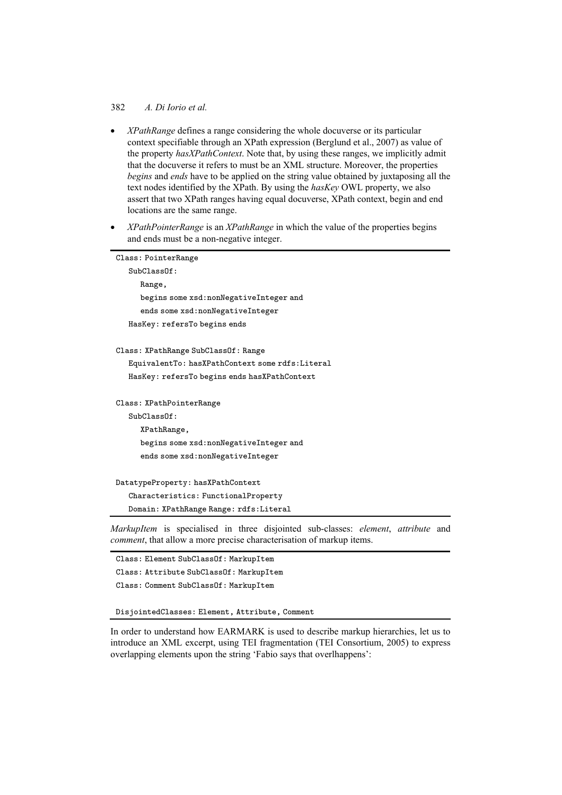- *XPathRange* defines a range considering the whole docuverse or its particular context specifiable through an XPath expression (Berglund et al., 2007) as value of the property *hasXPathContext*. Note that, by using these ranges, we implicitly admit that the docuverse it refers to must be an XML structure. Moreover, the properties *begins* and *ends* have to be applied on the string value obtained by juxtaposing all the text nodes identified by the XPath. By using the *hasKey* OWL property, we also assert that two XPath ranges having equal docuverse, XPath context, begin and end locations are the same range.
- *XPathPointerRange* is an *XPathRange* in which the value of the properties begins and ends must be a non-negative integer.

```
Class: PointerRange 
  SubClassOf: 
      Range, 
       begins some xsd:nonNegativeInteger and 
       ends some xsd:nonNegativeInteger 
  HasKey: refersTo begins ends 
Class: XPathRange SubClassOf: Range 
  EquivalentTo: hasXPathContext some rdfs:Literal 
  HasKey: refersTo begins ends hasXPathContext 
Class: XPathPointerRange 
  SubClassOf: 
       XPathRange, 
       begins some xsd:nonNegativeInteger and 
       ends some xsd:nonNegativeInteger 
DatatypeProperty: hasXPathContext 
   Characteristics: FunctionalProperty 
  Domain: XPathRange Range: rdfs:Literal
```
*MarkupItem* is specialised in three disjointed sub-classes: *element*, *attribute* and *comment*, that allow a more precise characterisation of markup items.

Class: Element SubClassOf: MarkupItem Class: Attribute SubClassOf: MarkupItem Class: Comment SubClassOf: MarkupItem

DisjointedClasses: Element, Attribute, Comment

In order to understand how EARMARK is used to describe markup hierarchies, let us to introduce an XML excerpt, using TEI fragmentation (TEI Consortium, 2005) to express overlapping elements upon the string 'Fabio says that overlhappens':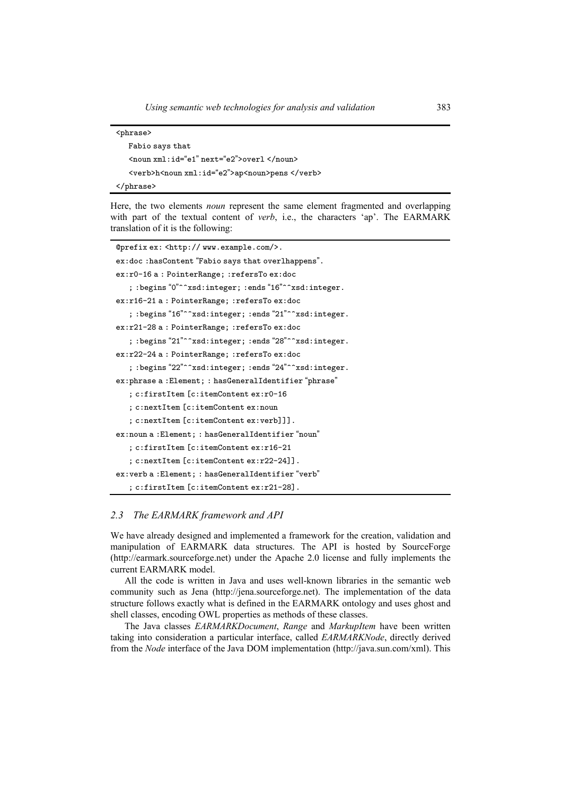```
<phrase> 
   Fabio says that 
   <noun xml:id="e1" next="e2">overl </noun> 
   <verb>h<noun xml:id="e2">ap<noun>pens </verb> 
</phrase>
```
Here, the two elements *noun* represent the same element fragmented and overlapping with part of the textual content of *verb*, i.e., the characters 'ap'. The EARMARK translation of it is the following:

| @prefix ex: <http: www.example.com=""></http:> .          |
|-----------------------------------------------------------|
| ex:doc:hasContent "Fabio says that overlhappens".         |
| ex:r0-16 a : PointerRange; : refersTo ex:doc              |
| ; :begins "0"^^xsd:integer; :ends "16"^^xsd:integer.      |
| ex:r16-21 a : PointerRange; : refersTo ex:doc             |
| ; : begins "16"^^xsd: integer; : ends "21"^^xsd: integer. |
| ex:r21-28 a : PointerRange; : refersTo ex:doc             |
| ; :begins "21"^^xsd:integer; :ends "28"^^xsd:integer.     |
| ex:r22-24 a : PointerRange; :refersTo ex:doc              |
| ; : begins "22"^^xsd: integer; : ends "24"^^xsd: integer. |
| ex:phrase a : Element; : hasGeneralIdentifier "phrase"    |
| ; c:firstItem [c:itemContent ex:r0-16                     |
| ; c:nextItem [c:itemContent ex:noun                       |
| ; $c:nextItem$ [c:itemContent ex:verb]]].                 |
| ex:noun a: Element; : hasGeneralIdentifier "noun"         |
| ; c:firstItem [c:itemContent ex:r16-21                    |
| ; $c:nextItem$ [ $c:itemContent ex: r22-24$ ]].           |
| ex: verb a : Element; : has General Identifier "verb"     |
| ; c:firstItem [c:itemContent ex:r21-28].                  |

### *2.3 The EARMARK framework and API*

We have already designed and implemented a framework for the creation, validation and manipulation of EARMARK data structures. The API is hosted by SourceForge (http://earmark.sourceforge.net) under the Apache 2.0 license and fully implements the current EARMARK model.

All the code is written in Java and uses well-known libraries in the semantic web community such as Jena (http://jena.sourceforge.net). The implementation of the data structure follows exactly what is defined in the EARMARK ontology and uses ghost and shell classes, encoding OWL properties as methods of these classes.

The Java classes *EARMARKDocument*, *Range* and *MarkupItem* have been written taking into consideration a particular interface, called *EARMARKNode*, directly derived from the *Node* interface of the Java DOM implementation (http://java.sun.com/xml). This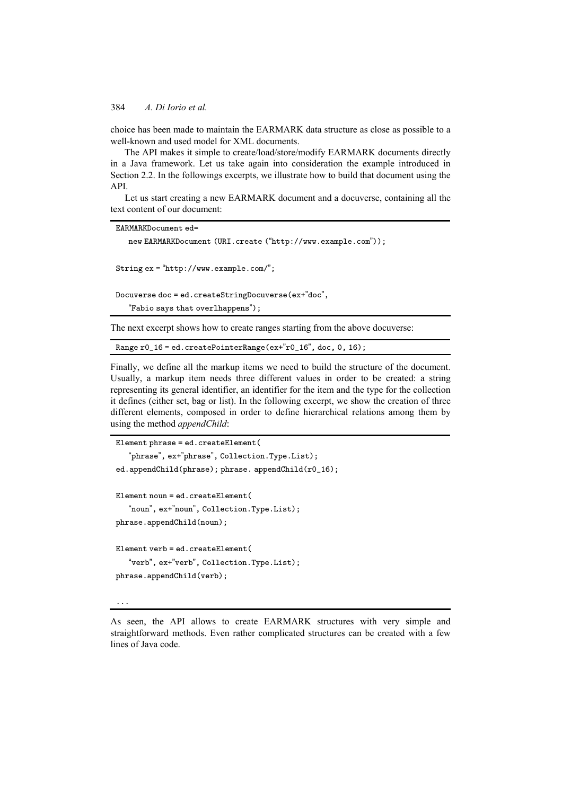choice has been made to maintain the EARMARK data structure as close as possible to a well-known and used model for XML documents.

The API makes it simple to create/load/store/modify EARMARK documents directly in a Java framework. Let us take again into consideration the example introduced in Section 2.2. In the followings excerpts, we illustrate how to build that document using the API.

Let us start creating a new EARMARK document and a docuverse, containing all the text content of our document:

```
EARMARKDocument ed= 
    new EARMARKDocument (URI.create ("http://www.example.com")); 
 String ex = "http://www.example.com/"; 
 Docuverse doc = ed.createStringDocuverse(ex+"doc", 
    "Fabio says that overlhappens"); 
The next excerpt shows how to create ranges starting from the above docuverse:
```
Range r0\_16 = ed.createPointerRange(ex+"r0\_16", doc, 0, 16);

Finally, we define all the markup items we need to build the structure of the document. Usually, a markup item needs three different values in order to be created: a string representing its general identifier, an identifier for the item and the type for the collection it defines (either set, bag or list). In the following excerpt, we show the creation of three different elements, composed in order to define hierarchical relations among them by using the method *appendChild*:

```
Element phrase = ed.createElement( 
   "phrase", ex+"phrase", Collection.Type.List); 
ed.appendChild(phrase); phrase.appendChild(r0_16);
Element noun = ed.createElement( 
   "noun", ex+"noun", Collection.Type.List); 
phrase.appendChild(noun); 
Element verb = ed.createElement( 
   "verb", ex+"verb", Collection.Type.List); 
phrase.appendChild(verb);
```
...

As seen, the API allows to create EARMARK structures with very simple and straightforward methods. Even rather complicated structures can be created with a few lines of Java code.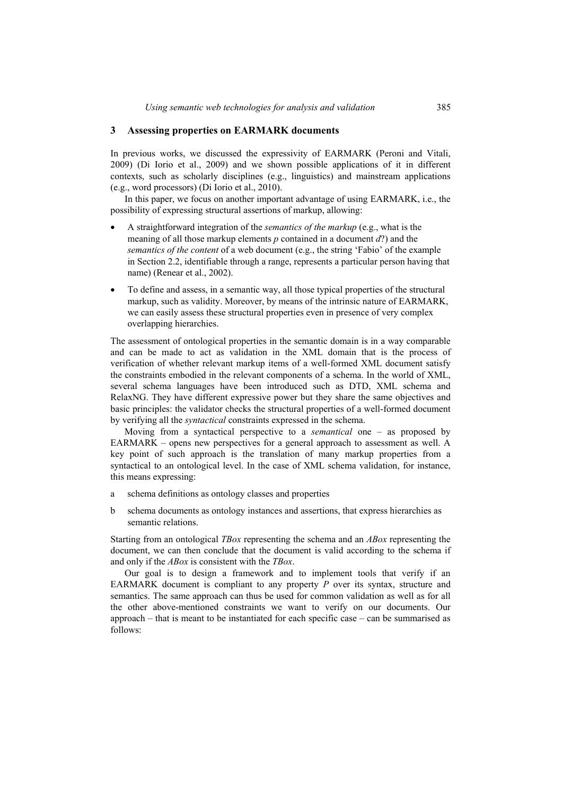#### **3 Assessing properties on EARMARK documents**

In previous works, we discussed the expressivity of EARMARK (Peroni and Vitali, 2009) (Di Iorio et al., 2009) and we shown possible applications of it in different contexts, such as scholarly disciplines (e.g., linguistics) and mainstream applications (e.g., word processors) (Di Iorio et al., 2010).

In this paper, we focus on another important advantage of using EARMARK, i.e., the possibility of expressing structural assertions of markup, allowing:

- A straightforward integration of the *semantics of the markup* (e.g., what is the meaning of all those markup elements *p* contained in a document *d*?) and the *semantics of the content* of a web document (e.g., the string 'Fabio' of the example in Section 2.2, identifiable through a range, represents a particular person having that name) (Renear et al., 2002).
- To define and assess, in a semantic way, all those typical properties of the structural markup, such as validity. Moreover, by means of the intrinsic nature of EARMARK, we can easily assess these structural properties even in presence of very complex overlapping hierarchies.

The assessment of ontological properties in the semantic domain is in a way comparable and can be made to act as validation in the XML domain that is the process of verification of whether relevant markup items of a well-formed XML document satisfy the constraints embodied in the relevant components of a schema. In the world of XML, several schema languages have been introduced such as DTD, XML schema and RelaxNG. They have different expressive power but they share the same objectives and basic principles: the validator checks the structural properties of a well-formed document by verifying all the *syntactical* constraints expressed in the schema.

Moving from a syntactical perspective to a *semantical* one – as proposed by EARMARK – opens new perspectives for a general approach to assessment as well. A key point of such approach is the translation of many markup properties from a syntactical to an ontological level. In the case of XML schema validation, for instance, this means expressing:

- a schema definitions as ontology classes and properties
- b schema documents as ontology instances and assertions, that express hierarchies as semantic relations.

Starting from an ontological *TBox* representing the schema and an *ABox* representing the document, we can then conclude that the document is valid according to the schema if and only if the *ABox* is consistent with the *TBox*.

Our goal is to design a framework and to implement tools that verify if an EARMARK document is compliant to any property *P* over its syntax, structure and semantics. The same approach can thus be used for common validation as well as for all the other above-mentioned constraints we want to verify on our documents. Our approach – that is meant to be instantiated for each specific case – can be summarised as follows: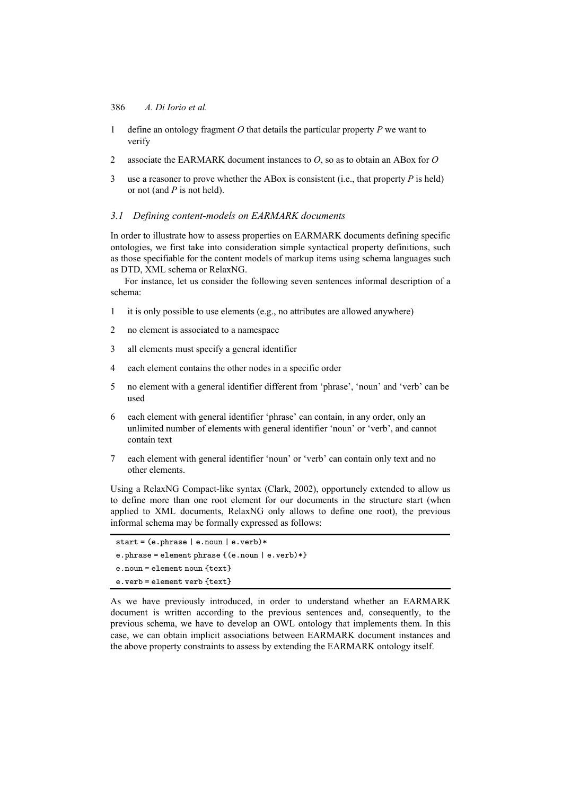- 1 define an ontology fragment *O* that details the particular property *P* we want to verify
- 2 associate the EARMARK document instances to *O*, so as to obtain an ABox for *O*
- 3 use a reasoner to prove whether the ABox is consistent (i.e., that property *P* is held) or not (and *P* is not held).

#### *3.1 Defining content-models on EARMARK documents*

In order to illustrate how to assess properties on EARMARK documents defining specific ontologies, we first take into consideration simple syntactical property definitions, such as those specifiable for the content models of markup items using schema languages such as DTD, XML schema or RelaxNG.

For instance, let us consider the following seven sentences informal description of a schema:

- 1 it is only possible to use elements (e.g., no attributes are allowed anywhere)
- 2 no element is associated to a namespace
- 3 all elements must specify a general identifier
- 4 each element contains the other nodes in a specific order
- 5 no element with a general identifier different from 'phrase', 'noun' and 'verb' can be used
- 6 each element with general identifier 'phrase' can contain, in any order, only an unlimited number of elements with general identifier 'noun' or 'verb', and cannot contain text
- 7 each element with general identifier 'noun' or 'verb' can contain only text and no other elements.

Using a RelaxNG Compact-like syntax (Clark, 2002), opportunely extended to allow us to define more than one root element for our documents in the structure start (when applied to XML documents, RelaxNG only allows to define one root), the previous informal schema may be formally expressed as follows:

```
start = (e.phrase | e.noun | e.verb)* 
e.phrase = element phrase {(e.noun | e.verb)*} 
e.noun = element noun {text} 
e.verb = element verb {text}
```
As we have previously introduced, in order to understand whether an EARMARK document is written according to the previous sentences and, consequently, to the previous schema, we have to develop an OWL ontology that implements them. In this case, we can obtain implicit associations between EARMARK document instances and the above property constraints to assess by extending the EARMARK ontology itself.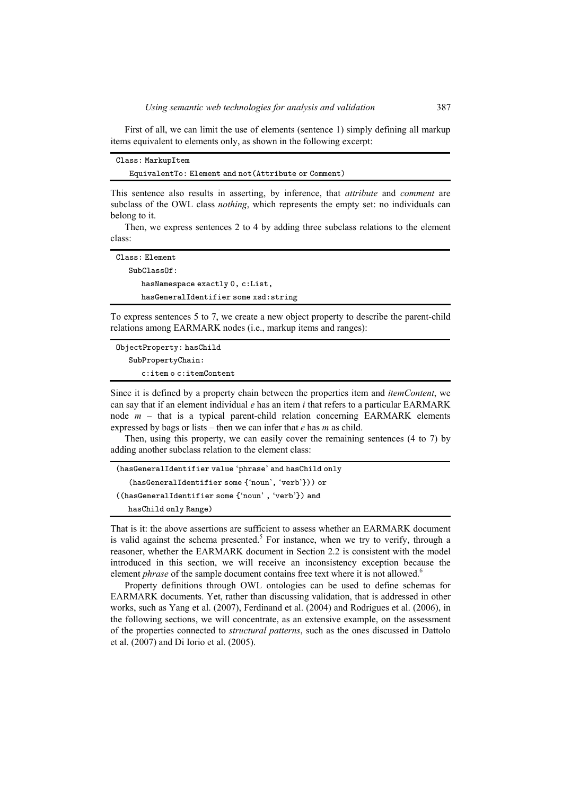First of all, we can limit the use of elements (sentence 1) simply defining all markup items equivalent to elements only, as shown in the following excerpt:

| Class: MarkupItem                                    |  |
|------------------------------------------------------|--|
| EquivalentTo: Element and not (Attribute or Comment) |  |

This sentence also results in asserting, by inference, that *attribute* and *comment* are subclass of the OWL class *nothing*, which represents the empty set: no individuals can belong to it.

Then, we express sentences 2 to 4 by adding three subclass relations to the element class:

| Class: Element                       |  |
|--------------------------------------|--|
| SubClassOf:                          |  |
| hasNamespace exactly 0, c:List,      |  |
| hasGeneralIdentifier some xsd:string |  |
|                                      |  |

To express sentences 5 to 7, we create a new object property to describe the parent-child relations among EARMARK nodes (i.e., markup items and ranges):

```
ObjectProperty: hasChild 
   SubPropertyChain: 
       c:item o c:itemContent
```
Since it is defined by a property chain between the properties item and *itemContent*, we can say that if an element individual *e* has an item *i* that refers to a particular EARMARK node *m* – that is a typical parent-child relation concerning EARMARK elements expressed by bags or lists – then we can infer that *e* has *m* as child.

Then, using this property, we can easily cover the remaining sentences (4 to 7) by adding another subclass relation to the element class:

| (hasGeneralIdentifier value 'phrase' and hasChild only |
|--------------------------------------------------------|
| (hasGeneralIdentifier some {'noun', 'verb'})) or       |
| ((hasGeneralIdentifier some {'noun', 'verb'}) and      |
| hasChild only Range)                                   |

That is it: the above assertions are sufficient to assess whether an EARMARK document is valid against the schema presented.<sup>5</sup> For instance, when we try to verify, through a reasoner, whether the EARMARK document in Section 2.2 is consistent with the model introduced in this section, we will receive an inconsistency exception because the element *phrase* of the sample document contains free text where it is not allowed.<sup>6</sup>

Property definitions through OWL ontologies can be used to define schemas for EARMARK documents. Yet, rather than discussing validation, that is addressed in other works, such as Yang et al. (2007), Ferdinand et al. (2004) and Rodrigues et al. (2006), in the following sections, we will concentrate, as an extensive example, on the assessment of the properties connected to *structural patterns*, such as the ones discussed in Dattolo et al. (2007) and Di Iorio et al. (2005).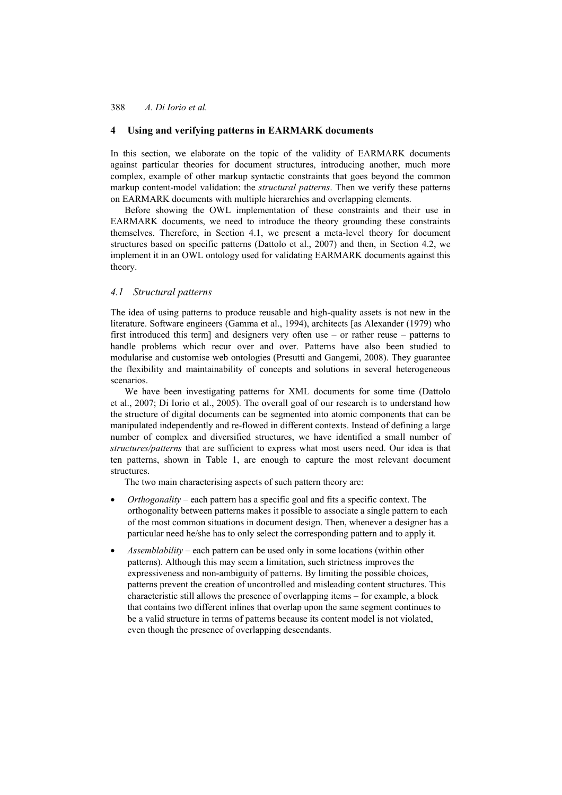### **4 Using and verifying patterns in EARMARK documents**

In this section, we elaborate on the topic of the validity of EARMARK documents against particular theories for document structures, introducing another, much more complex, example of other markup syntactic constraints that goes beyond the common markup content-model validation: the *structural patterns*. Then we verify these patterns on EARMARK documents with multiple hierarchies and overlapping elements.

Before showing the OWL implementation of these constraints and their use in EARMARK documents, we need to introduce the theory grounding these constraints themselves. Therefore, in Section 4.1, we present a meta-level theory for document structures based on specific patterns (Dattolo et al., 2007) and then, in Section 4.2, we implement it in an OWL ontology used for validating EARMARK documents against this theory.

### *4.1 Structural patterns*

The idea of using patterns to produce reusable and high-quality assets is not new in the literature. Software engineers (Gamma et al., 1994), architects [as Alexander (1979) who first introduced this term] and designers very often use – or rather reuse – patterns to handle problems which recur over and over. Patterns have also been studied to modularise and customise web ontologies (Presutti and Gangemi, 2008). They guarantee the flexibility and maintainability of concepts and solutions in several heterogeneous scenarios.

We have been investigating patterns for XML documents for some time (Dattolo et al., 2007; Di Iorio et al., 2005). The overall goal of our research is to understand how the structure of digital documents can be segmented into atomic components that can be manipulated independently and re-flowed in different contexts. Instead of defining a large number of complex and diversified structures, we have identified a small number of *structures/patterns* that are sufficient to express what most users need. Our idea is that ten patterns, shown in Table 1, are enough to capture the most relevant document structures.

The two main characterising aspects of such pattern theory are:

- *Orthogonality* each pattern has a specific goal and fits a specific context. The orthogonality between patterns makes it possible to associate a single pattern to each of the most common situations in document design. Then, whenever a designer has a particular need he/she has to only select the corresponding pattern and to apply it.
- *Assemblability* each pattern can be used only in some locations (within other patterns). Although this may seem a limitation, such strictness improves the expressiveness and non-ambiguity of patterns. By limiting the possible choices, patterns prevent the creation of uncontrolled and misleading content structures. This characteristic still allows the presence of overlapping items – for example, a block that contains two different inlines that overlap upon the same segment continues to be a valid structure in terms of patterns because its content model is not violated, even though the presence of overlapping descendants.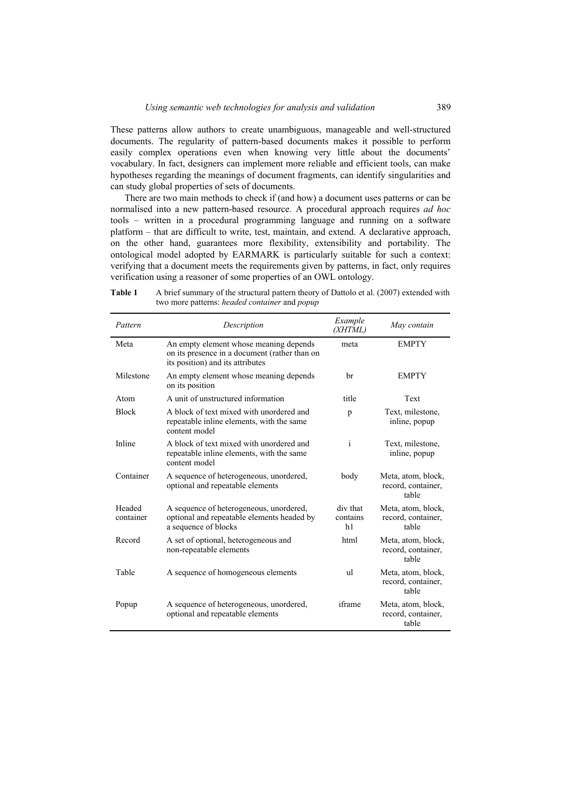These patterns allow authors to create unambiguous, manageable and well-structured documents. The regularity of pattern-based documents makes it possible to perform easily complex operations even when knowing very little about the documents' vocabulary. In fact, designers can implement more reliable and efficient tools, can make hypotheses regarding the meanings of document fragments, can identify singularities and can study global properties of sets of documents.

There are two main methods to check if (and how) a document uses patterns or can be normalised into a new pattern-based resource. A procedural approach requires *ad hoc* tools – written in a procedural programming language and running on a software platform – that are difficult to write, test, maintain, and extend. A declarative approach, on the other hand, guarantees more flexibility, extensibility and portability. The ontological model adopted by EARMARK is particularly suitable for such a context: verifying that a document meets the requirements given by patterns, in fact, only requires verification using a reasoner of some properties of an OWL ontology.

| Table 1 | A brief summary of the structural pattern theory of Dattolo et al. (2007) extended with |
|---------|-----------------------------------------------------------------------------------------|
|         | two more patterns: <i>headed container</i> and <i>popup</i>                             |

| Pattern             | Description                                                                                                                 | Example<br>(XHTML)         | May contain                                       |
|---------------------|-----------------------------------------------------------------------------------------------------------------------------|----------------------------|---------------------------------------------------|
| Meta                | An empty element whose meaning depends<br>on its presence in a document (rather than on<br>its position) and its attributes | meta                       | <b>EMPTY</b>                                      |
| Milestone           | An empty element whose meaning depends<br>on its position                                                                   | br                         | <b>EMPTY</b>                                      |
| Atom                | A unit of unstructured information                                                                                          | title                      | Text                                              |
| <b>Block</b>        | A block of text mixed with unordered and<br>repeatable inline elements, with the same<br>content model                      |                            | Text, milestone,<br>inline, popup                 |
| Inline              | A block of text mixed with unordered and<br>repeatable inline elements, with the same<br>content model                      | i                          | Text, milestone,<br>inline, popup                 |
| Container           | A sequence of heterogeneous, unordered,<br>optional and repeatable elements                                                 | body                       | Meta, atom, block,<br>record, container,<br>table |
| Headed<br>container | A sequence of heterogeneous, unordered,<br>optional and repeatable elements headed by<br>a sequence of blocks               | div that<br>contains<br>h1 | Meta, atom, block,<br>record, container,<br>table |
| Record              | A set of optional, heterogeneous and<br>html<br>non-repeatable elements                                                     |                            | Meta, atom, block,<br>record, container,<br>table |
| Table               | A sequence of homogeneous elements<br>ul                                                                                    |                            | Meta, atom, block,<br>record, container,<br>table |
| Popup               | A sequence of heterogeneous, unordered,<br>iframe<br>optional and repeatable elements                                       |                            | Meta, atom, block,<br>record, container,<br>table |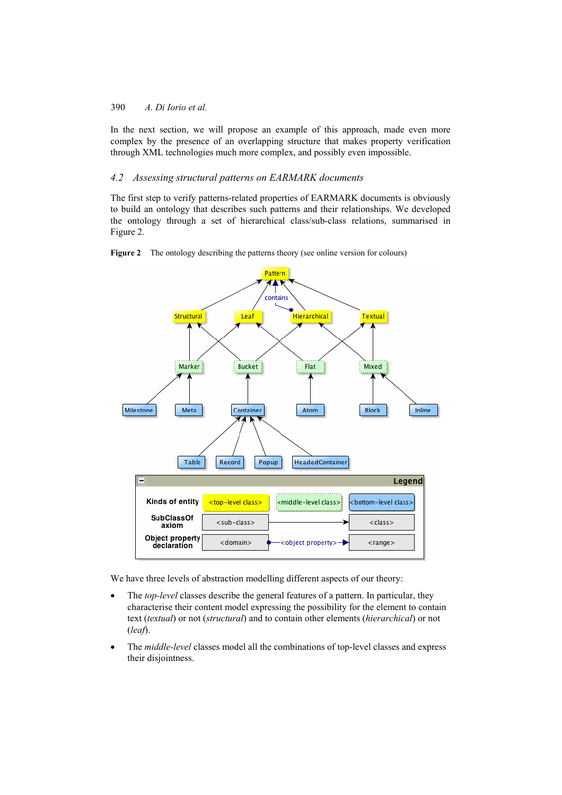In the next section, we will propose an example of this approach, made even more complex by the presence of an overlapping structure that makes property verification through XML technologies much more complex, and possibly even impossible.

### *4.2 Assessing structural patterns on EARMARK documents*

The first step to verify patterns-related properties of EARMARK documents is obviously to build an ontology that describes such patterns and their relationships. We developed the ontology through a set of hierarchical class/sub-class relations, summarised in Figure 2.





We have three levels of abstraction modelling different aspects of our theory:

- The *top-level* classes describe the general features of a pattern. In particular, they characterise their content model expressing the possibility for the element to contain text (*textual*) or not (*structural*) and to contain other elements (*hierarchical*) or not (*leaf*).
- The *middle-level* classes model all the combinations of top-level classes and express their disjointness.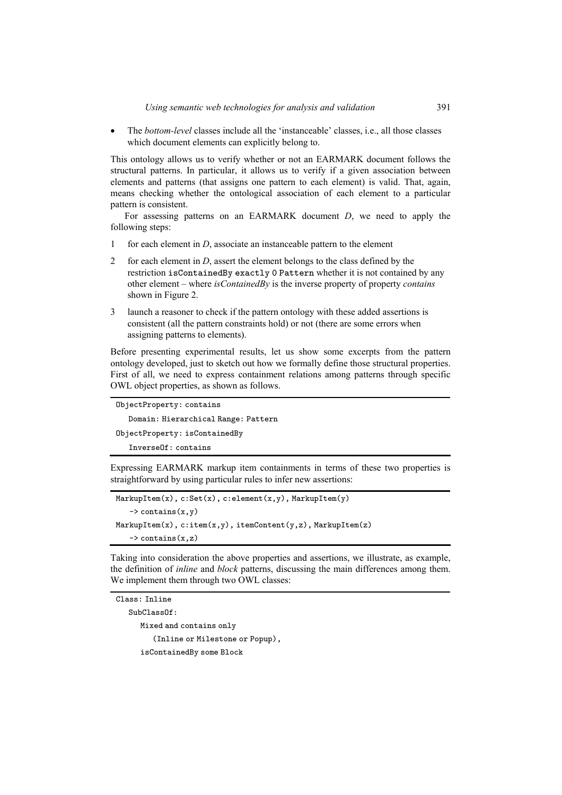• The *bottom-level* classes include all the 'instanceable' classes, i.e., all those classes which document elements can explicitly belong to.

This ontology allows us to verify whether or not an EARMARK document follows the structural patterns. In particular, it allows us to verify if a given association between elements and patterns (that assigns one pattern to each element) is valid. That, again, means checking whether the ontological association of each element to a particular pattern is consistent.

For assessing patterns on an EARMARK document *D*, we need to apply the following steps:

- 1 for each element in *D*, associate an instanceable pattern to the element
- 2 for each element in *D*, assert the element belongs to the class defined by the restriction isContainedBy exactly 0 Pattern whether it is not contained by any other element – where *isContainedBy* is the inverse property of property *contains* shown in Figure 2.
- 3 launch a reasoner to check if the pattern ontology with these added assertions is consistent (all the pattern constraints hold) or not (there are some errors when assigning patterns to elements).

Before presenting experimental results, let us show some excerpts from the pattern ontology developed, just to sketch out how we formally define those structural properties. First of all, we need to express containment relations among patterns through specific OWL object properties, as shown as follows.

```
ObjectProperty: contains 
   Domain: Hierarchical Range: Pattern 
ObjectProperty: isContainedBy 
   InverseOf: contains
```
Expressing EARMARK markup item containments in terms of these two properties is straightforward by using particular rules to infer new assertions:

```
MarkupItem(x), c:Set(x), c:element(x,y), MarkupItem(y) 
   \rightarrow contains(x,y)
MarkupItem(x), c:item(x,y), itemContent(y,z), MarkupItem(z) 
   \rightarrow contains(x, z)
```
Taking into consideration the above properties and assertions, we illustrate, as example, the definition of *inline* and *block* patterns, discussing the main differences among them. We implement them through two OWL classes:

```
Class: Inline
```
SubClassOf: Mixed and contains only (Inline or Milestone or Popup), isContainedBy some Block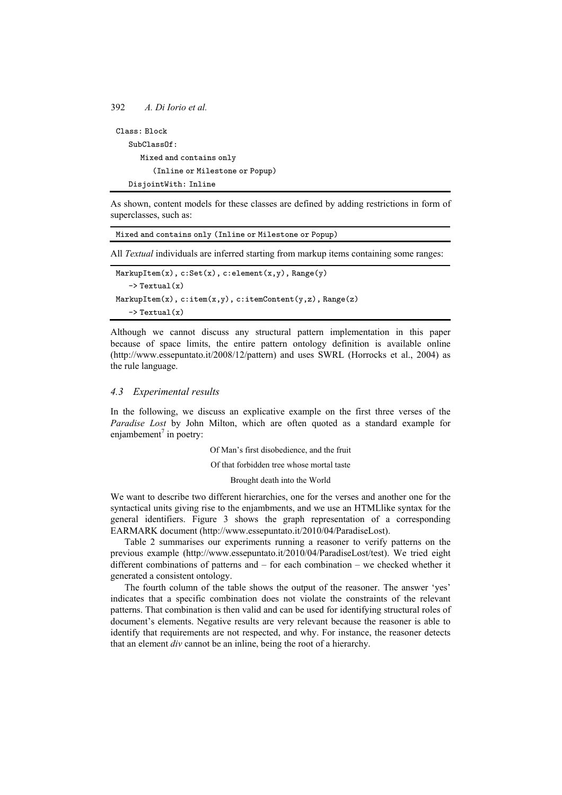```
Class: Block 
   SubClassOf: 
       Mixed and contains only 
          (Inline or Milestone or Popup) 
   DisjointWith: Inline
```
As shown, content models for these classes are defined by adding restrictions in form of superclasses, such as:

Mixed and contains only (Inline or Milestone or Popup)

All *Textual* individuals are inferred starting from markup items containing some ranges:

| $MarkupItem(x)$ , $c:Set(x)$ , $c:element(x,y)$ , $Range(y)$          |
|-----------------------------------------------------------------------|
| $\rightarrow$ Textual(x)                                              |
| $MarkupItem(x),$ c:item $(x,y)$ , c:itemContent $(y,z)$ , Range $(z)$ |
| $\rightarrow$ Textual(x)                                              |

Although we cannot discuss any structural pattern implementation in this paper because of space limits, the entire pattern ontology definition is available online (http://www.essepuntato.it/2008/12/pattern) and uses SWRL (Horrocks et al., 2004) as the rule language.

### *4.3 Experimental results*

In the following, we discuss an explicative example on the first three verses of the *Paradise Lost* by John Milton, which are often quoted as a standard example for enjambement<sup>7</sup> in poetry:

Of Man's first disobedience, and the fruit

Of that forbidden tree whose mortal taste

Brought death into the World

We want to describe two different hierarchies, one for the verses and another one for the syntactical units giving rise to the enjambments, and we use an HTMLlike syntax for the general identifiers. Figure 3 shows the graph representation of a corresponding EARMARK document (http://www.essepuntato.it/2010/04/ParadiseLost).

Table 2 summarises our experiments running a reasoner to verify patterns on the previous example (http://www.essepuntato.it/2010/04/ParadiseLost/test). We tried eight different combinations of patterns and – for each combination – we checked whether it generated a consistent ontology.

The fourth column of the table shows the output of the reasoner. The answer 'yes' indicates that a specific combination does not violate the constraints of the relevant patterns. That combination is then valid and can be used for identifying structural roles of document's elements. Negative results are very relevant because the reasoner is able to identify that requirements are not respected, and why. For instance, the reasoner detects that an element *div* cannot be an inline, being the root of a hierarchy.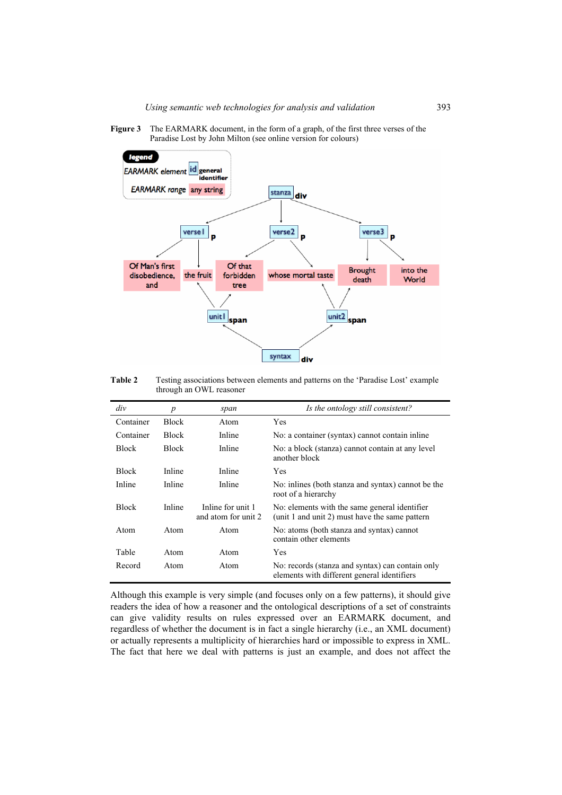**Figure 3** The EARMARK document, in the form of a graph, of the first three verses of the Paradise Lost by John Milton (see online version for colours)



**Table 2** Testing associations between elements and patterns on the 'Paradise Lost' example through an OWL reasoner

| div          | $\boldsymbol{p}$ | span                                     | Is the ontology still consistent?                                                               |
|--------------|------------------|------------------------------------------|-------------------------------------------------------------------------------------------------|
| Container    | <b>Block</b>     | Atom                                     | Yes                                                                                             |
| Container    | <b>Block</b>     | Inline                                   | No: a container (syntax) cannot contain inline                                                  |
| <b>Block</b> | Block            | Inline                                   | No: a block (stanza) cannot contain at any level<br>another block                               |
| <b>Block</b> | Inline           | Inline                                   | <b>Yes</b>                                                                                      |
| Inline       | Inline           | Inline                                   | No: inlines (both stanza and syntax) cannot be the<br>root of a hierarchy                       |
| <b>Block</b> | Inline           | Inline for unit 1<br>and atom for unit 2 | No: elements with the same general identifier<br>(unit 1 and unit 2) must have the same pattern |
| Atom         | Atom             | Atom                                     | No: atoms (both stanza and syntax) cannot<br>contain other elements                             |
| Table        | Atom             | Atom                                     | Yes                                                                                             |
| Record       | Atom             | Atom                                     | No: records (stanza and syntax) can contain only<br>elements with different general identifiers |

Although this example is very simple (and focuses only on a few patterns), it should give readers the idea of how a reasoner and the ontological descriptions of a set of constraints can give validity results on rules expressed over an EARMARK document, and regardless of whether the document is in fact a single hierarchy (i.e., an XML document) or actually represents a multiplicity of hierarchies hard or impossible to express in XML. The fact that here we deal with patterns is just an example, and does not affect the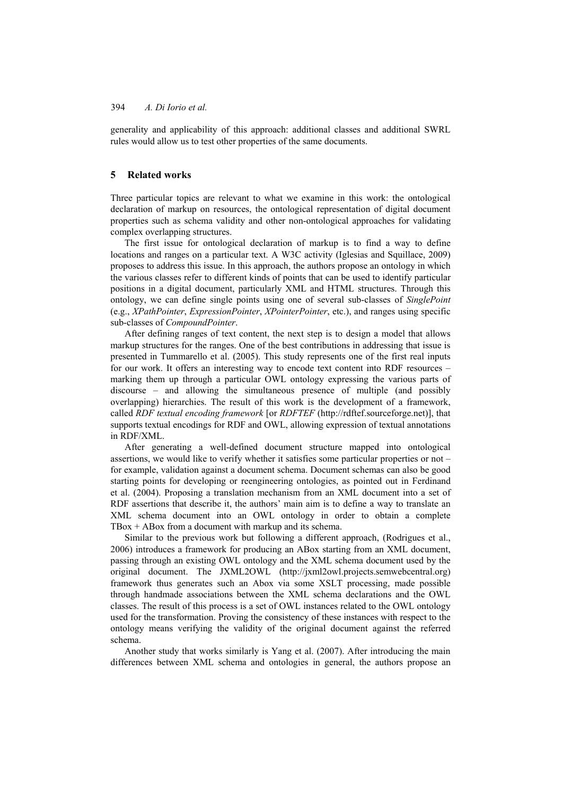generality and applicability of this approach: additional classes and additional SWRL rules would allow us to test other properties of the same documents.

### **5 Related works**

Three particular topics are relevant to what we examine in this work: the ontological declaration of markup on resources, the ontological representation of digital document properties such as schema validity and other non-ontological approaches for validating complex overlapping structures.

The first issue for ontological declaration of markup is to find a way to define locations and ranges on a particular text. A W3C activity (Iglesias and Squillace, 2009) proposes to address this issue. In this approach, the authors propose an ontology in which the various classes refer to different kinds of points that can be used to identify particular positions in a digital document, particularly XML and HTML structures. Through this ontology, we can define single points using one of several sub-classes of *SinglePoint* (e.g., *XPathPointer*, *ExpressionPointer*, *XPointerPointer*, etc.), and ranges using specific sub-classes of *CompoundPointer*.

After defining ranges of text content, the next step is to design a model that allows markup structures for the ranges. One of the best contributions in addressing that issue is presented in Tummarello et al. (2005). This study represents one of the first real inputs for our work. It offers an interesting way to encode text content into RDF resources – marking them up through a particular OWL ontology expressing the various parts of discourse – and allowing the simultaneous presence of multiple (and possibly overlapping) hierarchies. The result of this work is the development of a framework, called *RDF textual encoding framework* [or *RDFTEF* (http://rdftef.sourceforge.net)], that supports textual encodings for RDF and OWL, allowing expression of textual annotations in RDF/XML.

After generating a well-defined document structure mapped into ontological assertions, we would like to verify whether it satisfies some particular properties or not – for example, validation against a document schema. Document schemas can also be good starting points for developing or reengineering ontologies, as pointed out in Ferdinand et al. (2004). Proposing a translation mechanism from an XML document into a set of RDF assertions that describe it, the authors' main aim is to define a way to translate an XML schema document into an OWL ontology in order to obtain a complete TBox + ABox from a document with markup and its schema.

Similar to the previous work but following a different approach, (Rodrigues et al., 2006) introduces a framework for producing an ABox starting from an XML document, passing through an existing OWL ontology and the XML schema document used by the original document. The JXML2OWL (http://jxml2owl.projects.semwebcentral.org) framework thus generates such an Abox via some XSLT processing, made possible through handmade associations between the XML schema declarations and the OWL classes. The result of this process is a set of OWL instances related to the OWL ontology used for the transformation. Proving the consistency of these instances with respect to the ontology means verifying the validity of the original document against the referred schema.

Another study that works similarly is Yang et al. (2007). After introducing the main differences between XML schema and ontologies in general, the authors propose an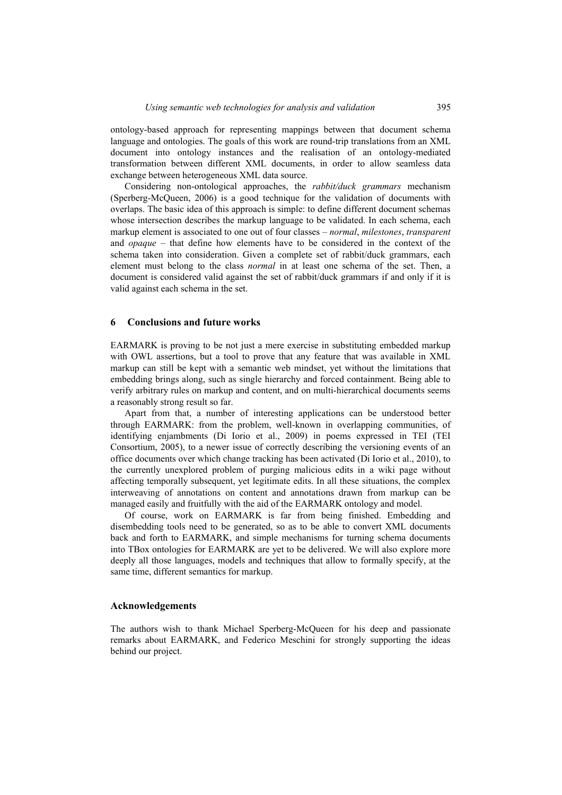ontology-based approach for representing mappings between that document schema language and ontologies. The goals of this work are round-trip translations from an XML document into ontology instances and the realisation of an ontology-mediated transformation between different XML documents, in order to allow seamless data exchange between heterogeneous XML data source.

Considering non-ontological approaches, the *rabbit/duck grammars* mechanism (Sperberg-McQueen, 2006) is a good technique for the validation of documents with overlaps. The basic idea of this approach is simple: to define different document schemas whose intersection describes the markup language to be validated. In each schema, each markup element is associated to one out of four classes – *normal*, *milestones*, *transparent* and *opaque* – that define how elements have to be considered in the context of the schema taken into consideration. Given a complete set of rabbit/duck grammars, each element must belong to the class *normal* in at least one schema of the set. Then, a document is considered valid against the set of rabbit/duck grammars if and only if it is valid against each schema in the set.

#### **6 Conclusions and future works**

EARMARK is proving to be not just a mere exercise in substituting embedded markup with OWL assertions, but a tool to prove that any feature that was available in XML markup can still be kept with a semantic web mindset, yet without the limitations that embedding brings along, such as single hierarchy and forced containment. Being able to verify arbitrary rules on markup and content, and on multi-hierarchical documents seems a reasonably strong result so far.

Apart from that, a number of interesting applications can be understood better through EARMARK: from the problem, well-known in overlapping communities, of identifying enjambments (Di Iorio et al., 2009) in poems expressed in TEI (TEI Consortium, 2005), to a newer issue of correctly describing the versioning events of an office documents over which change tracking has been activated (Di Iorio et al., 2010), to the currently unexplored problem of purging malicious edits in a wiki page without affecting temporally subsequent, yet legitimate edits. In all these situations, the complex interweaving of annotations on content and annotations drawn from markup can be managed easily and fruitfully with the aid of the EARMARK ontology and model.

Of course, work on EARMARK is far from being finished. Embedding and disembedding tools need to be generated, so as to be able to convert XML documents back and forth to EARMARK, and simple mechanisms for turning schema documents into TBox ontologies for EARMARK are yet to be delivered. We will also explore more deeply all those languages, models and techniques that allow to formally specify, at the same time, different semantics for markup.

#### **Acknowledgements**

The authors wish to thank Michael Sperberg-McQueen for his deep and passionate remarks about EARMARK, and Federico Meschini for strongly supporting the ideas behind our project.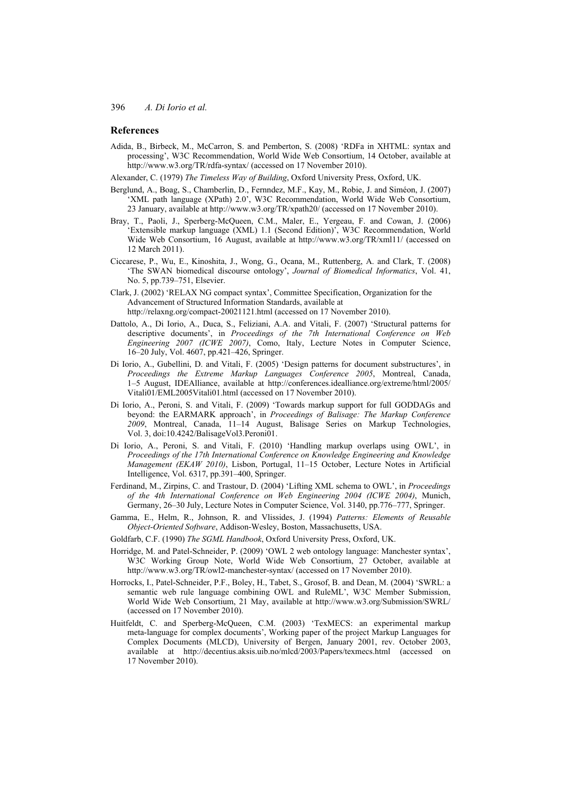#### **References**

- Adida, B., Birbeck, M., McCarron, S. and Pemberton, S. (2008) 'RDFa in XHTML: syntax and processing', W3C Recommendation, World Wide Web Consortium, 14 October, available at http://www.w3.org/TR/rdfa-syntax/ (accessed on 17 November 2010).
- Alexander, C. (1979) *The Timeless Way of Building*, Oxford University Press, Oxford, UK.
- Berglund, A., Boag, S., Chamberlin, D., Fernndez, M.F., Kay, M., Robie, J. and Siméon, J. (2007) 'XML path language (XPath) 2.0', W3C Recommendation, World Wide Web Consortium, 23 January, available at http://www.w3.org/TR/xpath20/ (accessed on 17 November 2010).
- Bray, T., Paoli, J., Sperberg-McQueen, C.M., Maler, E., Yergeau, F. and Cowan, J. (2006) 'Extensible markup language (XML) 1.1 (Second Edition)', W3C Recommendation, World Wide Web Consortium, 16 August, available at http://www.w3.org/TR/xml11/ (accessed on 12 March 2011).
- Ciccarese, P., Wu, E., Kinoshita, J., Wong, G., Ocana, M., Ruttenberg, A. and Clark, T. (2008) 'The SWAN biomedical discourse ontology', *Journal of Biomedical Informatics*, Vol. 41, No. 5, pp.739–751, Elsevier.
- Clark, J. (2002) 'RELAX NG compact syntax', Committee Specification, Organization for the Advancement of Structured Information Standards, available at http://relaxng.org/compact-20021121.html (accessed on 17 November 2010).
- Dattolo, A., Di Iorio, A., Duca, S., Feliziani, A.A. and Vitali, F. (2007) 'Structural patterns for descriptive documents', in *Proceedings of the 7th International Conference on Web Engineering 2007 (ICWE 2007)*, Como, Italy, Lecture Notes in Computer Science, 16–20 July, Vol. 4607, pp.421–426, Springer.
- Di Iorio, A., Gubellini, D. and Vitali, F. (2005) 'Design patterns for document substructures', in *Proceedings the Extreme Markup Languages Conference 2005*, Montreal, Canada, 1–5 August, IDEAlliance, available at http://conferences.idealliance.org/extreme/html/2005/ Vitali01/EML2005Vitali01.html (accessed on 17 November 2010).
- Di Iorio, A., Peroni, S. and Vitali, F. (2009) 'Towards markup support for full GODDAGs and beyond: the EARMARK approach', in *Proceedings of Balisage: The Markup Conference 2009*, Montreal, Canada, 11–14 August, Balisage Series on Markup Technologies, Vol. 3, doi:10.4242/BalisageVol3.Peroni01.
- Di Iorio, A., Peroni, S. and Vitali, F. (2010) 'Handling markup overlaps using OWL', in *Proceedings of the 17th International Conference on Knowledge Engineering and Knowledge Management (EKAW 2010)*, Lisbon, Portugal, 11–15 October, Lecture Notes in Artificial Intelligence, Vol. 6317, pp.391–400, Springer.
- Ferdinand, M., Zirpins, C. and Trastour, D. (2004) 'Lifting XML schema to OWL', in *Proceedings of the 4th International Conference on Web Engineering 2004 (ICWE 2004)*, Munich, Germany, 26–30 July, Lecture Notes in Computer Science, Vol. 3140, pp.776–777, Springer.
- Gamma, E., Helm, R., Johnson, R. and Vlissides, J. (1994) *Patterns: Elements of Reusable Object-Oriented Software*, Addison-Wesley, Boston, Massachusetts, USA.
- Goldfarb, C.F. (1990) *The SGML Handbook*, Oxford University Press, Oxford, UK.
- Horridge, M. and Patel-Schneider, P. (2009) 'OWL 2 web ontology language: Manchester syntax', W3C Working Group Note, World Wide Web Consortium, 27 October, available at http://www.w3.org/TR/owl2-manchester-syntax/ (accessed on 17 November 2010).
- Horrocks, I., Patel-Schneider, P.F., Boley, H., Tabet, S., Grosof, B. and Dean, M. (2004) 'SWRL: a semantic web rule language combining OWL and RuleML', W3C Member Submission, World Wide Web Consortium, 21 May, available at http://www.w3.org/Submission/SWRL/ (accessed on 17 November 2010).
- Huitfeldt, C. and Sperberg-McQueen, C.M. (2003) 'TexMECS: an experimental markup meta-language for complex documents', Working paper of the project Markup Languages for Complex Documents (MLCD), University of Bergen, January 2001, rev. October 2003, available at http://decentius.aksis.uib.no/mlcd/2003/Papers/texmecs.html (accessed on 17 November 2010).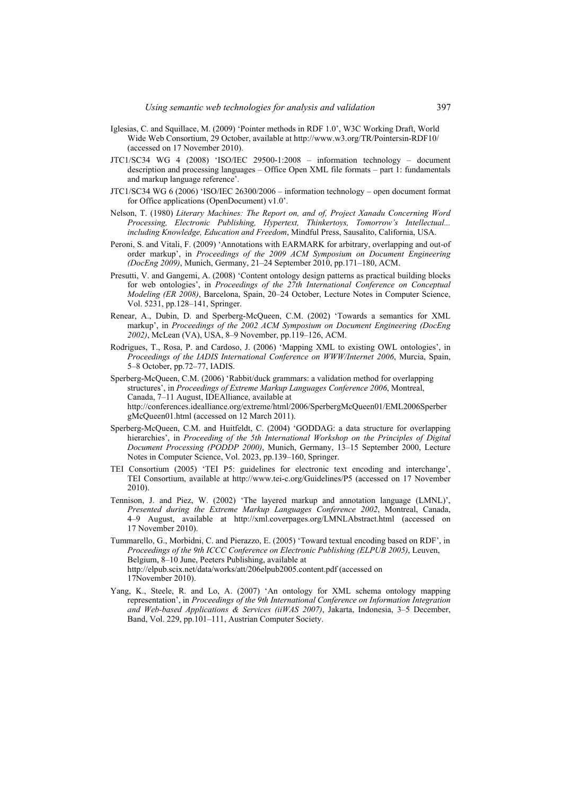- Iglesias, C. and Squillace, M. (2009) 'Pointer methods in RDF 1.0', W3C Working Draft, World Wide Web Consortium, 29 October, available at http://www.w3.org/TR/Pointersin-RDF10/ (accessed on 17 November 2010).
- JTC1/SC34 WG 4 (2008) 'ISO/IEC 29500-1:2008 information technology document description and processing languages – Office Open XML file formats – part 1: fundamentals and markup language reference'.
- JTC1/SC34 WG 6 (2006) 'ISO/IEC 26300/2006 information technology open document format for Office applications (OpenDocument) v1.0'.
- Nelson, T. (1980) *Literary Machines: The Report on, and of, Project Xanadu Concerning Word Processing, Electronic Publishing, Hypertext, Thinkertoys, Tomorrow's Intellectual... including Knowledge, Education and Freedom*, Mindful Press, Sausalito, California, USA.
- Peroni, S. and Vitali, F. (2009) 'Annotations with EARMARK for arbitrary, overlapping and out-of order markup', in *Proceedings of the 2009 ACM Symposium on Document Engineering (DocEng 2009)*, Munich, Germany, 21–24 September 2010, pp.171–180, ACM.
- Presutti, V. and Gangemi, A. (2008) 'Content ontology design patterns as practical building blocks for web ontologies', in *Proceedings of the 27th International Conference on Conceptual Modeling (ER 2008)*, Barcelona, Spain, 20–24 October, Lecture Notes in Computer Science, Vol. 5231, pp.128–141, Springer.
- Renear, A., Dubin, D. and Sperberg-McQueen, C.M. (2002) 'Towards a semantics for XML markup', in *Proceedings of the 2002 ACM Symposium on Document Engineering (DocEng 2002)*, McLean (VA), USA, 8–9 November, pp.119–126, ACM.
- Rodrigues, T., Rosa, P. and Cardoso, J. (2006) 'Mapping XML to existing OWL ontologies', in *Proceedings of the IADIS International Conference on WWW/Internet 2006*, Murcia, Spain, 5–8 October, pp.72–77, IADIS.
- Sperberg-McQueen, C.M. (2006) 'Rabbit/duck grammars: a validation method for overlapping structures', in *Proceedings of Extreme Markup Languages Conference 2006*, Montreal, Canada, 7–11 August, IDEAlliance, available at http://conferences.idealliance.org/extreme/html/2006/SperbergMcQueen01/EML2006Sperber gMcQueen01.html (accessed on 12 March 2011).
- Sperberg-McQueen, C.M. and Huitfeldt, C. (2004) 'GODDAG: a data structure for overlapping hierarchies', in *Proceeding of the 5th International Workshop on the Principles of Digital Document Processing (PODDP 2000)*, Munich, Germany, 13–15 September 2000, Lecture Notes in Computer Science, Vol. 2023, pp.139–160, Springer.
- TEI Consortium (2005) 'TEI P5: guidelines for electronic text encoding and interchange', TEI Consortium, available at http://www.tei-c.org/Guidelines/P5 (accessed on 17 November 2010).
- Tennison, J. and Piez, W. (2002) 'The layered markup and annotation language (LMNL)', *Presented during the Extreme Markup Languages Conference 2002*, Montreal, Canada, 4–9 August, available at http://xml.coverpages.org/LMNLAbstract.html (accessed on 17 November 2010).
- Tummarello, G., Morbidni, C. and Pierazzo, E. (2005) 'Toward textual encoding based on RDF', in *Proceedings of the 9th ICCC Conference on Electronic Publishing (ELPUB 2005)*, Leuven, Belgium, 8–10 June, Peeters Publishing, available at http://elpub.scix.net/data/works/att/206elpub2005.content.pdf (accessed on 17November 2010).
- Yang, K., Steele, R. and Lo, A. (2007) 'An ontology for XML schema ontology mapping representation', in *Proceedings of the 9th International Conference on Information Integration and Web-based Applications & Services (iiWAS 2007)*, Jakarta, Indonesia, 3–5 December, Band, Vol. 229, pp.101–111, Austrian Computer Society.